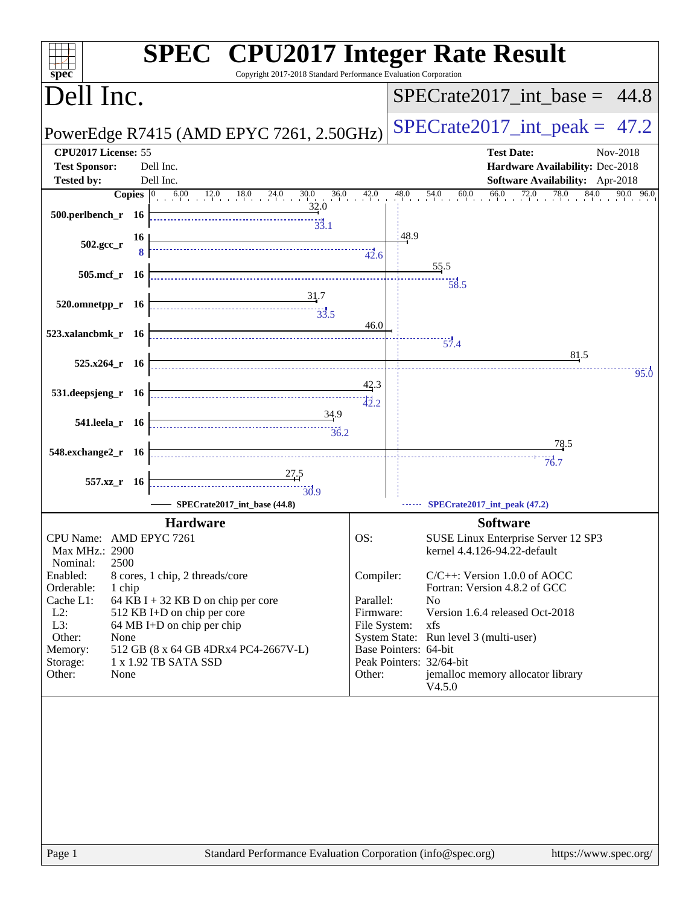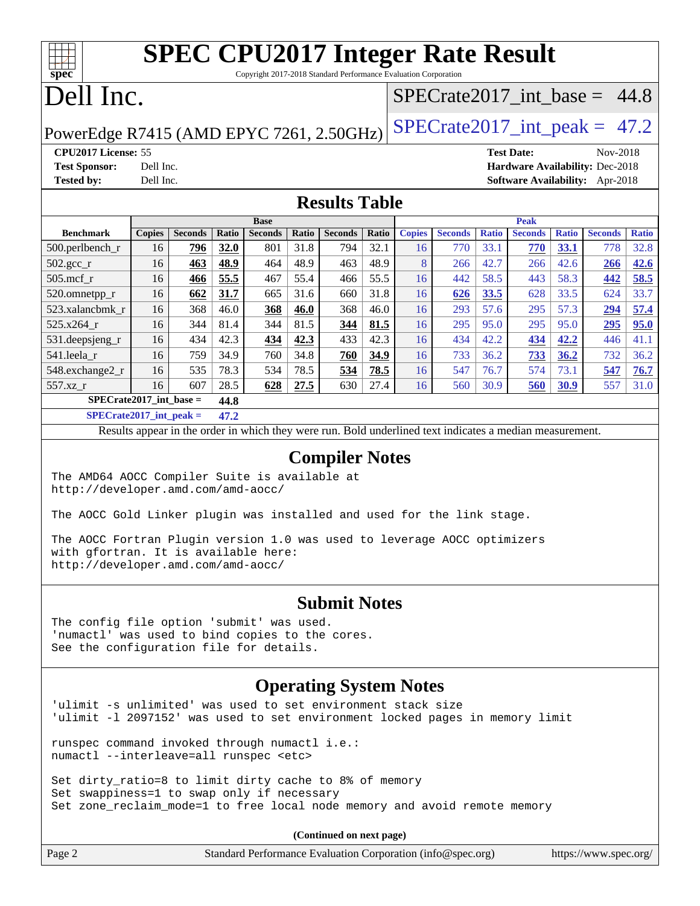## **[SPEC CPU2017 Integer Rate Result](http://www.spec.org/auto/cpu2017/Docs/result-fields.html#SPECCPU2017IntegerRateResult)** Copyright 2017-2018 Standard Performance Evaluation Corporation

# Dell Inc.

**[spec](http://www.spec.org/)**

## SPECrate2017 int\_base =  $44.8$

PowerEdge R7415 (AMD EPYC 7261, 2.50GHz) SPECrate  $2017$ \_int\_peak = 47.2

**[CPU2017 License:](http://www.spec.org/auto/cpu2017/Docs/result-fields.html#CPU2017License)** 55 **[Test Date:](http://www.spec.org/auto/cpu2017/Docs/result-fields.html#TestDate)** Nov-2018 **[Test Sponsor:](http://www.spec.org/auto/cpu2017/Docs/result-fields.html#TestSponsor)** Dell Inc. **[Hardware Availability:](http://www.spec.org/auto/cpu2017/Docs/result-fields.html#HardwareAvailability)** Dec-2018 **[Tested by:](http://www.spec.org/auto/cpu2017/Docs/result-fields.html#Testedby)** Dell Inc. **[Software Availability:](http://www.spec.org/auto/cpu2017/Docs/result-fields.html#SoftwareAvailability)** Apr-2018

### **[Results Table](http://www.spec.org/auto/cpu2017/Docs/result-fields.html#ResultsTable)**

|                           | <b>Base</b>   |                |       |                | <b>Peak</b>  |                |       |               |                |              |                |              |                |              |
|---------------------------|---------------|----------------|-------|----------------|--------------|----------------|-------|---------------|----------------|--------------|----------------|--------------|----------------|--------------|
| <b>Benchmark</b>          | <b>Copies</b> | <b>Seconds</b> | Ratio | <b>Seconds</b> | <b>Ratio</b> | <b>Seconds</b> | Ratio | <b>Copies</b> | <b>Seconds</b> | <b>Ratio</b> | <b>Seconds</b> | <b>Ratio</b> | <b>Seconds</b> | <b>Ratio</b> |
| 500.perlbench_r           | 16            | 796            | 32.0  | 801            | 31.8         | 794            | 32.1  | 16            | 770            | 33.1         | 770            | 33.1         | 778            | 32.8         |
| $502.\text{gcc\_r}$       | 16            | 463            | 48.9  | 464            | 48.9         | 463            | 48.9  | 8             | 266            | 42.7         | 266            | 42.6         | 266            | 42.6         |
| $505$ .mcf r              | 16            | 466            | 55.5  | 467            | 55.4         | 466            | 55.5  | 16            | 442            | 58.5         | 443            | 58.3         | 442            | 58.5         |
| 520.omnetpp_r             | 16            | 662            | 31.7  | 665            | 31.6         | 660            | 31.8  | 16            | 626            | 33.5         | 628            | 33.5         | 624            | 33.7         |
| 523.xalancbmk r           | 16            | 368            | 46.0  | 368            | 46.0         | 368            | 46.0  | 16            | 293            | 57.6         | 295            | 57.3         | 294            | 57.4         |
| 525.x264 r                | 16            | 344            | 81.4  | 344            | 81.5         | 344            | 81.5  | 16            | 295            | 95.0         | 295            | 95.0         | 295            | 95.0         |
| 531.deepsjeng_r           | 16            | 434            | 42.3  | 434            | 42.3         | 433            | 42.3  | 16            | 434            | 42.2         | 434            | 42.2         | 446            | 41.1         |
| 541.leela r               | 16            | 759            | 34.9  | 760            | 34.8         | 760            | 34.9  | 16            | 733            | 36.2         | 733            | 36.2         | 732            | 36.2         |
| 548.exchange2_r           | 16            | 535            | 78.3  | 534            | 78.5         | 534            | 78.5  | 16            | 547            | 76.7         | 574            | 73.1         | 547            | 76.7         |
| 557.xz r                  | 16            | 607            | 28.5  | 628            | 27.5         | 630            | 27.4  | 16            | 560            | 30.9         | 560            | 30.9         | 557            | 31.0         |
| $SPECrate2017$ int base = |               |                | 44.8  |                |              |                |       |               |                |              |                |              |                |              |

**[SPECrate2017\\_int\\_peak =](http://www.spec.org/auto/cpu2017/Docs/result-fields.html#SPECrate2017intpeak) 47.2**

Results appear in the [order in which they were run](http://www.spec.org/auto/cpu2017/Docs/result-fields.html#RunOrder). Bold underlined text [indicates a median measurement](http://www.spec.org/auto/cpu2017/Docs/result-fields.html#Median).

### **[Compiler Notes](http://www.spec.org/auto/cpu2017/Docs/result-fields.html#CompilerNotes)**

The AMD64 AOCC Compiler Suite is available at <http://developer.amd.com/amd-aocc/>

The AOCC Gold Linker plugin was installed and used for the link stage.

The AOCC Fortran Plugin version 1.0 was used to leverage AOCC optimizers with gfortran. It is available here: <http://developer.amd.com/amd-aocc/>

### **[Submit Notes](http://www.spec.org/auto/cpu2017/Docs/result-fields.html#SubmitNotes)**

The config file option 'submit' was used. 'numactl' was used to bind copies to the cores. See the configuration file for details.

## **[Operating System Notes](http://www.spec.org/auto/cpu2017/Docs/result-fields.html#OperatingSystemNotes)**

'ulimit -s unlimited' was used to set environment stack size 'ulimit -l 2097152' was used to set environment locked pages in memory limit

runspec command invoked through numactl i.e.: numactl --interleave=all runspec <etc>

Set dirty\_ratio=8 to limit dirty cache to 8% of memory Set swappiness=1 to swap only if necessary Set zone\_reclaim\_mode=1 to free local node memory and avoid remote memory

**(Continued on next page)**

| Page 2 | Standard Performance Evaluation Corporation (info@spec.org) | https://www.spec.org/ |
|--------|-------------------------------------------------------------|-----------------------|
|--------|-------------------------------------------------------------|-----------------------|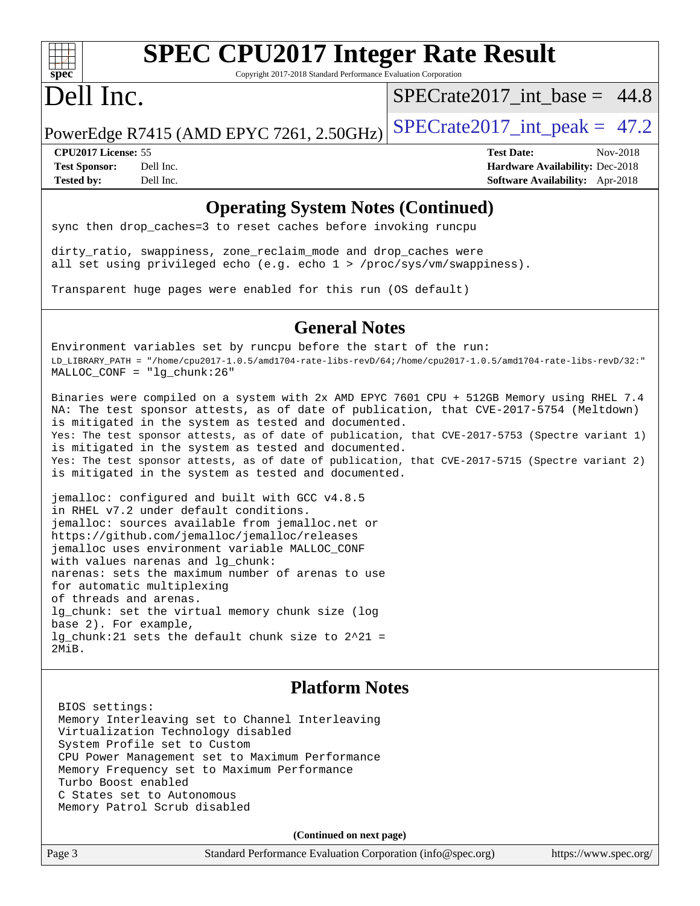

# **[SPEC CPU2017 Integer Rate Result](http://www.spec.org/auto/cpu2017/Docs/result-fields.html#SPECCPU2017IntegerRateResult)**

Copyright 2017-2018 Standard Performance Evaluation Corporation

# Dell Inc.

 $SPECrate2017\_int\_base = 44.8$ 

PowerEdge R7415 (AMD EPYC 7261, 2.50GHz) SPECrate  $2017$ \_int\_peak = 47.2

**[CPU2017 License:](http://www.spec.org/auto/cpu2017/Docs/result-fields.html#CPU2017License)** 55 **[Test Date:](http://www.spec.org/auto/cpu2017/Docs/result-fields.html#TestDate)** Nov-2018 **[Test Sponsor:](http://www.spec.org/auto/cpu2017/Docs/result-fields.html#TestSponsor)** Dell Inc. **[Hardware Availability:](http://www.spec.org/auto/cpu2017/Docs/result-fields.html#HardwareAvailability)** Dec-2018 **[Tested by:](http://www.spec.org/auto/cpu2017/Docs/result-fields.html#Testedby)** Dell Inc. **[Software Availability:](http://www.spec.org/auto/cpu2017/Docs/result-fields.html#SoftwareAvailability)** Apr-2018

### **[Operating System Notes \(Continued\)](http://www.spec.org/auto/cpu2017/Docs/result-fields.html#OperatingSystemNotes)**

sync then drop\_caches=3 to reset caches before invoking runcpu

dirty\_ratio, swappiness, zone\_reclaim\_mode and drop\_caches were all set using privileged echo (e.g. echo 1 > /proc/sys/vm/swappiness).

Transparent huge pages were enabled for this run (OS default)

### **[General Notes](http://www.spec.org/auto/cpu2017/Docs/result-fields.html#GeneralNotes)**

Environment variables set by runcpu before the start of the run: LD\_LIBRARY\_PATH = "/home/cpu2017-1.0.5/amd1704-rate-libs-revD/64;/home/cpu2017-1.0.5/amd1704-rate-libs-revD/32:" MALLOC\_CONF = "lg\_chunk:26"

Binaries were compiled on a system with 2x AMD EPYC 7601 CPU + 512GB Memory using RHEL 7.4 NA: The test sponsor attests, as of date of publication, that CVE-2017-5754 (Meltdown) is mitigated in the system as tested and documented. Yes: The test sponsor attests, as of date of publication, that CVE-2017-5753 (Spectre variant 1) is mitigated in the system as tested and documented. Yes: The test sponsor attests, as of date of publication, that CVE-2017-5715 (Spectre variant 2) is mitigated in the system as tested and documented.

jemalloc: configured and built with GCC v4.8.5 in RHEL v7.2 under default conditions. jemalloc: sources available from jemalloc.net or <https://github.com/jemalloc/jemalloc/releases> jemalloc uses environment variable MALLOC\_CONF with values narenas and lg\_chunk: narenas: sets the maximum number of arenas to use for automatic multiplexing of threads and arenas. lg\_chunk: set the virtual memory chunk size (log base 2). For example, lg\_chunk:21 sets the default chunk size to 2^21 = 2MiB.

### **[Platform Notes](http://www.spec.org/auto/cpu2017/Docs/result-fields.html#PlatformNotes)**

 BIOS settings: Memory Interleaving set to Channel Interleaving Virtualization Technology disabled System Profile set to Custom CPU Power Management set to Maximum Performance Memory Frequency set to Maximum Performance Turbo Boost enabled C States set to Autonomous Memory Patrol Scrub disabled

**(Continued on next page)**

Page 3 Standard Performance Evaluation Corporation [\(info@spec.org\)](mailto:info@spec.org) <https://www.spec.org/>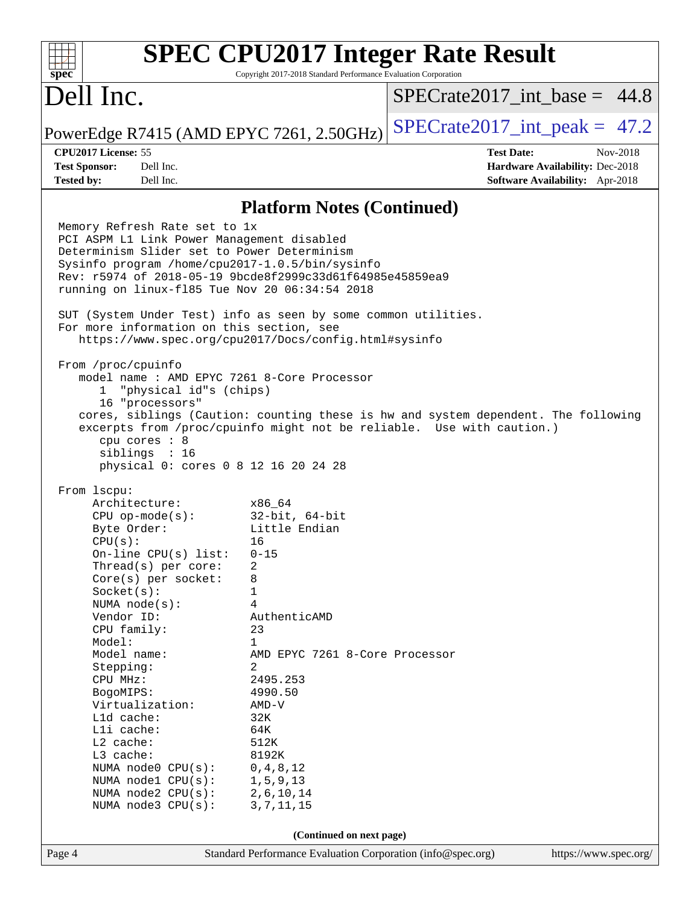|                                                                                                                                                                                                                                                                                                                                                                                                                                                                                                                                                                                                                                                                                                                                                                                                                                                                                                                                                                                                                           | <b>SPEC CPU2017 Integer Rate Result</b>                                          |  |                                  |  |  |
|---------------------------------------------------------------------------------------------------------------------------------------------------------------------------------------------------------------------------------------------------------------------------------------------------------------------------------------------------------------------------------------------------------------------------------------------------------------------------------------------------------------------------------------------------------------------------------------------------------------------------------------------------------------------------------------------------------------------------------------------------------------------------------------------------------------------------------------------------------------------------------------------------------------------------------------------------------------------------------------------------------------------------|----------------------------------------------------------------------------------|--|----------------------------------|--|--|
| $spec*$<br>Dell Inc.                                                                                                                                                                                                                                                                                                                                                                                                                                                                                                                                                                                                                                                                                                                                                                                                                                                                                                                                                                                                      | Copyright 2017-2018 Standard Performance Evaluation Corporation                  |  | $SPECrate2017\_int\_base = 44.8$ |  |  |
| PowerEdge R7415 (AMD EPYC 7261, 2.50GHz)                                                                                                                                                                                                                                                                                                                                                                                                                                                                                                                                                                                                                                                                                                                                                                                                                                                                                                                                                                                  |                                                                                  |  | $SPECrate2017\_int\_peak = 47.2$ |  |  |
| CPU2017 License: 55                                                                                                                                                                                                                                                                                                                                                                                                                                                                                                                                                                                                                                                                                                                                                                                                                                                                                                                                                                                                       |                                                                                  |  | <b>Test Date:</b><br>Nov-2018    |  |  |
| <b>Test Sponsor:</b><br>Dell Inc.                                                                                                                                                                                                                                                                                                                                                                                                                                                                                                                                                                                                                                                                                                                                                                                                                                                                                                                                                                                         |                                                                                  |  | Hardware Availability: Dec-2018  |  |  |
| <b>Tested by:</b><br>Dell Inc.                                                                                                                                                                                                                                                                                                                                                                                                                                                                                                                                                                                                                                                                                                                                                                                                                                                                                                                                                                                            |                                                                                  |  | Software Availability: Apr-2018  |  |  |
|                                                                                                                                                                                                                                                                                                                                                                                                                                                                                                                                                                                                                                                                                                                                                                                                                                                                                                                                                                                                                           | <b>Platform Notes (Continued)</b>                                                |  |                                  |  |  |
| Memory Refresh Rate set to 1x<br>PCI ASPM L1 Link Power Management disabled<br>Determinism Slider set to Power Determinism<br>Sysinfo program /home/cpu2017-1.0.5/bin/sysinfo<br>Rev: r5974 of 2018-05-19 9bcde8f2999c33d61f64985e45859ea9<br>running on linux-f185 Tue Nov 20 06:34:54 2018<br>SUT (System Under Test) info as seen by some common utilities.<br>For more information on this section, see<br>https://www.spec.org/cpu2017/Docs/config.html#sysinfo<br>From /proc/cpuinfo<br>model name: AMD EPYC 7261 8-Core Processor<br>"physical id"s (chips)<br>$\mathbf{1}$<br>16 "processors"<br>cores, siblings (Caution: counting these is hw and system dependent. The following<br>excerpts from /proc/cpuinfo might not be reliable. Use with caution.)<br>$cpu$ cores : $8$<br>siblings : 16<br>physical 0: cores 0 8 12 16 20 24 28<br>From 1scpu:<br>Architecture:<br>$CPU$ op-mode( $s$ ):<br>Byte Order:<br>CPU(s):<br>On-line CPU(s) list:<br>Thread(s) per core:<br>Core(s) per socket:<br>Socket(s): | x86_64<br>$32$ -bit, $64$ -bit<br>Little Endian<br>16<br>$0 - 15$<br>2<br>8<br>1 |  |                                  |  |  |
| NUMA node(s):<br>Vendor ID:                                                                                                                                                                                                                                                                                                                                                                                                                                                                                                                                                                                                                                                                                                                                                                                                                                                                                                                                                                                               | 4<br>AuthenticAMD                                                                |  |                                  |  |  |
| CPU family:                                                                                                                                                                                                                                                                                                                                                                                                                                                                                                                                                                                                                                                                                                                                                                                                                                                                                                                                                                                                               | 23                                                                               |  |                                  |  |  |
| Model:<br>Model name:                                                                                                                                                                                                                                                                                                                                                                                                                                                                                                                                                                                                                                                                                                                                                                                                                                                                                                                                                                                                     | $\mathbf 1$<br>AMD EPYC 7261 8-Core Processor                                    |  |                                  |  |  |
| Stepping:                                                                                                                                                                                                                                                                                                                                                                                                                                                                                                                                                                                                                                                                                                                                                                                                                                                                                                                                                                                                                 | 2                                                                                |  |                                  |  |  |
| CPU MHz:                                                                                                                                                                                                                                                                                                                                                                                                                                                                                                                                                                                                                                                                                                                                                                                                                                                                                                                                                                                                                  | 2495.253                                                                         |  |                                  |  |  |
| BogoMIPS:<br>Virtualization:                                                                                                                                                                                                                                                                                                                                                                                                                                                                                                                                                                                                                                                                                                                                                                                                                                                                                                                                                                                              | 4990.50<br>$AMD-V$                                                               |  |                                  |  |  |
| L1d cache:                                                                                                                                                                                                                                                                                                                                                                                                                                                                                                                                                                                                                                                                                                                                                                                                                                                                                                                                                                                                                | 32K                                                                              |  |                                  |  |  |
| Lli cache:                                                                                                                                                                                                                                                                                                                                                                                                                                                                                                                                                                                                                                                                                                                                                                                                                                                                                                                                                                                                                | 64K                                                                              |  |                                  |  |  |
| L2 cache:                                                                                                                                                                                                                                                                                                                                                                                                                                                                                                                                                                                                                                                                                                                                                                                                                                                                                                                                                                                                                 | 512K                                                                             |  |                                  |  |  |
| L3 cache:<br>NUMA node0 CPU(s):                                                                                                                                                                                                                                                                                                                                                                                                                                                                                                                                                                                                                                                                                                                                                                                                                                                                                                                                                                                           | 8192K<br>0, 4, 8, 12                                                             |  |                                  |  |  |
| NUMA nodel CPU(s):                                                                                                                                                                                                                                                                                                                                                                                                                                                                                                                                                                                                                                                                                                                                                                                                                                                                                                                                                                                                        | 1, 5, 9, 13                                                                      |  |                                  |  |  |
| NUMA node2 CPU(s):                                                                                                                                                                                                                                                                                                                                                                                                                                                                                                                                                                                                                                                                                                                                                                                                                                                                                                                                                                                                        | 2,6,10,14                                                                        |  |                                  |  |  |
| NUMA $node3$ $CPU(s):$                                                                                                                                                                                                                                                                                                                                                                                                                                                                                                                                                                                                                                                                                                                                                                                                                                                                                                                                                                                                    | 3, 7, 11, 15                                                                     |  |                                  |  |  |
| (Continued on next page)                                                                                                                                                                                                                                                                                                                                                                                                                                                                                                                                                                                                                                                                                                                                                                                                                                                                                                                                                                                                  |                                                                                  |  |                                  |  |  |
| Page 4                                                                                                                                                                                                                                                                                                                                                                                                                                                                                                                                                                                                                                                                                                                                                                                                                                                                                                                                                                                                                    | Standard Performance Evaluation Corporation (info@spec.org)                      |  | https://www.spec.org/            |  |  |
|                                                                                                                                                                                                                                                                                                                                                                                                                                                                                                                                                                                                                                                                                                                                                                                                                                                                                                                                                                                                                           |                                                                                  |  |                                  |  |  |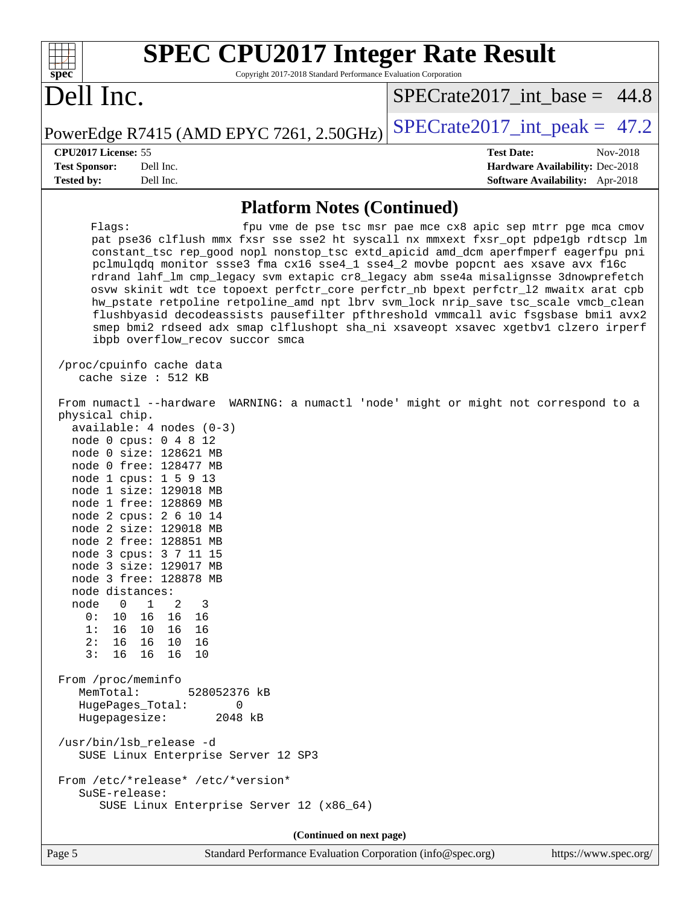| <b>SPEC CPU2017 Integer Rate Result</b><br>spec <sup>®</sup><br>Copyright 2017-2018 Standard Performance Evaluation Corporation                                                                                                                                                                                                                                                                                                                                                                                                                                                                                                                                                                                                                                                                                                                                                                                                                                                                                                                                                                                                                                                                                                                                                                                                                                                                                                                                                                                                                                                                                                                    |                                                               |
|----------------------------------------------------------------------------------------------------------------------------------------------------------------------------------------------------------------------------------------------------------------------------------------------------------------------------------------------------------------------------------------------------------------------------------------------------------------------------------------------------------------------------------------------------------------------------------------------------------------------------------------------------------------------------------------------------------------------------------------------------------------------------------------------------------------------------------------------------------------------------------------------------------------------------------------------------------------------------------------------------------------------------------------------------------------------------------------------------------------------------------------------------------------------------------------------------------------------------------------------------------------------------------------------------------------------------------------------------------------------------------------------------------------------------------------------------------------------------------------------------------------------------------------------------------------------------------------------------------------------------------------------------|---------------------------------------------------------------|
| Dell Inc.                                                                                                                                                                                                                                                                                                                                                                                                                                                                                                                                                                                                                                                                                                                                                                                                                                                                                                                                                                                                                                                                                                                                                                                                                                                                                                                                                                                                                                                                                                                                                                                                                                          | $SPECrate2017\_int\_base = 44.8$                              |
| PowerEdge R7415 (AMD EPYC 7261, 2.50GHz)                                                                                                                                                                                                                                                                                                                                                                                                                                                                                                                                                                                                                                                                                                                                                                                                                                                                                                                                                                                                                                                                                                                                                                                                                                                                                                                                                                                                                                                                                                                                                                                                           | $SPECrate2017\_int\_peak = 47.2$                              |
| CPU2017 License: 55                                                                                                                                                                                                                                                                                                                                                                                                                                                                                                                                                                                                                                                                                                                                                                                                                                                                                                                                                                                                                                                                                                                                                                                                                                                                                                                                                                                                                                                                                                                                                                                                                                | <b>Test Date:</b><br>Nov-2018                                 |
| <b>Test Sponsor:</b><br>Dell Inc.                                                                                                                                                                                                                                                                                                                                                                                                                                                                                                                                                                                                                                                                                                                                                                                                                                                                                                                                                                                                                                                                                                                                                                                                                                                                                                                                                                                                                                                                                                                                                                                                                  | Hardware Availability: Dec-2018                               |
| <b>Tested by:</b><br>Dell Inc.                                                                                                                                                                                                                                                                                                                                                                                                                                                                                                                                                                                                                                                                                                                                                                                                                                                                                                                                                                                                                                                                                                                                                                                                                                                                                                                                                                                                                                                                                                                                                                                                                     | Software Availability: Apr-2018                               |
| <b>Platform Notes (Continued)</b>                                                                                                                                                                                                                                                                                                                                                                                                                                                                                                                                                                                                                                                                                                                                                                                                                                                                                                                                                                                                                                                                                                                                                                                                                                                                                                                                                                                                                                                                                                                                                                                                                  |                                                               |
| Flags:<br>pat pse36 clflush mmx fxsr sse sse2 ht syscall nx mmxext fxsr_opt pdpe1gb rdtscp lm<br>constant_tsc rep_good nopl nonstop_tsc extd_apicid amd_dcm aperfmperf eagerfpu pni<br>pclmulqdq monitor ssse3 fma cx16 sse4_1 sse4_2 movbe popcnt aes xsave avx f16c<br>rdrand lahf_lm cmp_legacy svm extapic cr8_legacy abm sse4a misalignsse 3dnowprefetch<br>osvw skinit wdt tce topoext perfctr_core perfctr_nb bpext perfctr_12 mwaitx arat cpb<br>hw_pstate retpoline retpoline_amd npt lbrv svm_lock nrip_save tsc_scale vmcb_clean<br>flushbyasid decodeassists pausefilter pfthreshold vmmcall avic fsgsbase bmil avx2<br>smep bmi2 rdseed adx smap clflushopt sha_ni xsaveopt xsavec xgetbvl clzero irperf<br>ibpb overflow_recov succor smca<br>/proc/cpuinfo cache data<br>cache size : 512 KB<br>From numactl --hardware WARNING: a numactl 'node' might or might not correspond to a<br>physical chip.<br>$available: 4 nodes (0-3)$<br>node 0 cpus: 0 4 8 12<br>node 0 size: 128621 MB<br>node 0 free: 128477 MB<br>node 1 cpus: 1 5 9 13<br>node 1 size: 129018 MB<br>node 1 free: 128869 MB<br>node 2 cpus: 2 6 10 14<br>node 2 size: 129018 MB<br>node 2 free: 128851 MB<br>node 3 cpus: 3 7 11 15<br>node 3 size: 129017 MB<br>node 3 free: 128878 MB<br>node distances:<br>node<br>$\mathbf 1$<br>$\overline{\phantom{0}}$<br>2<br>3<br>0:<br>10<br>16<br>16<br>16<br>1:<br>16<br>10 16<br>16<br>2:<br>16<br>16 10<br>16<br>3:<br>16<br>16 16<br>10<br>From /proc/meminfo<br>MemTotal:<br>528052376 kB<br>HugePages_Total:<br>0<br>Hugepagesize:<br>2048 kB<br>/usr/bin/lsb_release -d<br>SUSE Linux Enterprise Server 12 SP3 | fpu vme de pse tsc msr pae mce cx8 apic sep mtrr pge mca cmov |
| From /etc/*release* /etc/*version*                                                                                                                                                                                                                                                                                                                                                                                                                                                                                                                                                                                                                                                                                                                                                                                                                                                                                                                                                                                                                                                                                                                                                                                                                                                                                                                                                                                                                                                                                                                                                                                                                 |                                                               |
| SuSE-release:<br>SUSE Linux Enterprise Server 12 (x86_64)                                                                                                                                                                                                                                                                                                                                                                                                                                                                                                                                                                                                                                                                                                                                                                                                                                                                                                                                                                                                                                                                                                                                                                                                                                                                                                                                                                                                                                                                                                                                                                                          |                                                               |
| (Continued on next page)                                                                                                                                                                                                                                                                                                                                                                                                                                                                                                                                                                                                                                                                                                                                                                                                                                                                                                                                                                                                                                                                                                                                                                                                                                                                                                                                                                                                                                                                                                                                                                                                                           |                                                               |
| Standard Performance Evaluation Corporation (info@spec.org)<br>Page 5                                                                                                                                                                                                                                                                                                                                                                                                                                                                                                                                                                                                                                                                                                                                                                                                                                                                                                                                                                                                                                                                                                                                                                                                                                                                                                                                                                                                                                                                                                                                                                              | https://www.spec.org/                                         |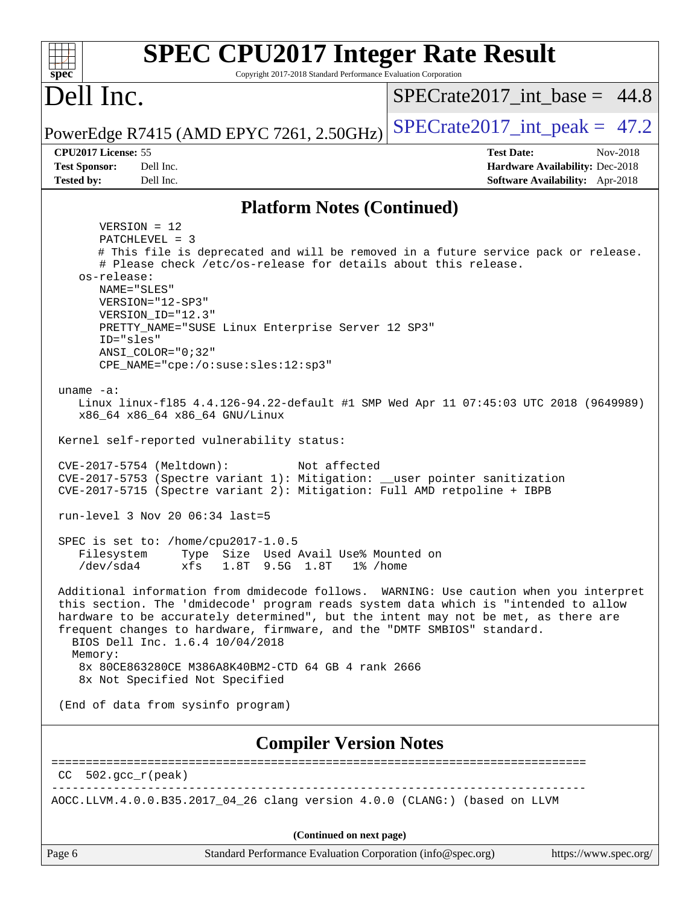| <b>SPEC CPU2017 Integer Rate Result</b><br>spec <sup>®</sup><br>Copyright 2017-2018 Standard Performance Evaluation Corporation                                                                                                                                                                                                                                                                                                                    |                                        |
|----------------------------------------------------------------------------------------------------------------------------------------------------------------------------------------------------------------------------------------------------------------------------------------------------------------------------------------------------------------------------------------------------------------------------------------------------|----------------------------------------|
| Dell Inc.                                                                                                                                                                                                                                                                                                                                                                                                                                          | $SPECTate2017$ _int_base = 44.8        |
| PowerEdge R7415 (AMD EPYC 7261, 2.50GHz)                                                                                                                                                                                                                                                                                                                                                                                                           | $SPECrate2017\_int\_peak = 47.2$       |
| CPU2017 License: 55                                                                                                                                                                                                                                                                                                                                                                                                                                | <b>Test Date:</b><br>Nov-2018          |
| <b>Test Sponsor:</b><br>Dell Inc.                                                                                                                                                                                                                                                                                                                                                                                                                  | <b>Hardware Availability: Dec-2018</b> |
| <b>Tested by:</b><br>Dell Inc.                                                                                                                                                                                                                                                                                                                                                                                                                     | Software Availability: Apr-2018        |
| <b>Platform Notes (Continued)</b>                                                                                                                                                                                                                                                                                                                                                                                                                  |                                        |
| $VERSION = 12$                                                                                                                                                                                                                                                                                                                                                                                                                                     |                                        |
| PATCHLEVEL = 3<br># This file is deprecated and will be removed in a future service pack or release.<br># Please check /etc/os-release for details about this release.<br>os-release:<br>NAME="SLES"<br>VERSION="12-SP3"<br>VERSION_ID="12.3"<br>PRETTY_NAME="SUSE Linux Enterprise Server 12 SP3"<br>ID="sles"<br>ANSI COLOR="0;32"                                                                                                               |                                        |
| CPE_NAME="cpe:/o:suse:sles:12:sp3"                                                                                                                                                                                                                                                                                                                                                                                                                 |                                        |
| uname $-a$ :<br>Linux linux-f185 4.4.126-94.22-default #1 SMP Wed Apr 11 07:45:03 UTC 2018 (9649989)<br>x86_64 x86_64 x86_64 GNU/Linux                                                                                                                                                                                                                                                                                                             |                                        |
| Kernel self-reported vulnerability status:                                                                                                                                                                                                                                                                                                                                                                                                         |                                        |
| CVE-2017-5754 (Meltdown):<br>Not affected<br>CVE-2017-5753 (Spectre variant 1): Mitigation: __user pointer sanitization<br>CVE-2017-5715 (Spectre variant 2): Mitigation: Full AMD retpoline + IBPB                                                                                                                                                                                                                                                |                                        |
| $run-level$ 3 Nov 20 06:34 last=5                                                                                                                                                                                                                                                                                                                                                                                                                  |                                        |
| SPEC is set to: /home/cpu2017-1.0.5<br>Type Size Used Avail Use% Mounted on<br>Filesystem<br>$/\text{dev/sda4}$<br>xfs<br>1.8T 9.5G 1.8T<br>1% /home                                                                                                                                                                                                                                                                                               |                                        |
| Additional information from dmidecode follows. WARNING: Use caution when you interpret<br>this section. The 'dmidecode' program reads system data which is "intended to allow<br>hardware to be accurately determined", but the intent may not be met, as there are<br>frequent changes to hardware, firmware, and the "DMTF SMBIOS" standard.<br>BIOS Dell Inc. 1.6.4 10/04/2018<br>Memory:<br>8x 80CE863280CE M386A8K40BM2-CTD 64 GB 4 rank 2666 |                                        |
| 8x Not Specified Not Specified                                                                                                                                                                                                                                                                                                                                                                                                                     |                                        |
| (End of data from sysinfo program)                                                                                                                                                                                                                                                                                                                                                                                                                 |                                        |
| <b>Compiler Version Notes</b>                                                                                                                                                                                                                                                                                                                                                                                                                      |                                        |
| $CC$ 502. $qcc$ $r$ ( $peak$ )                                                                                                                                                                                                                                                                                                                                                                                                                     |                                        |
|                                                                                                                                                                                                                                                                                                                                                                                                                                                    |                                        |
| AOCC.LLVM.4.0.0.B35.2017_04_26 clang version 4.0.0 (CLANG:) (based on LLVM                                                                                                                                                                                                                                                                                                                                                                         |                                        |
| (Continued on next page)                                                                                                                                                                                                                                                                                                                                                                                                                           |                                        |
| Page 6<br>Standard Performance Evaluation Corporation (info@spec.org)                                                                                                                                                                                                                                                                                                                                                                              | https://www.spec.org/                  |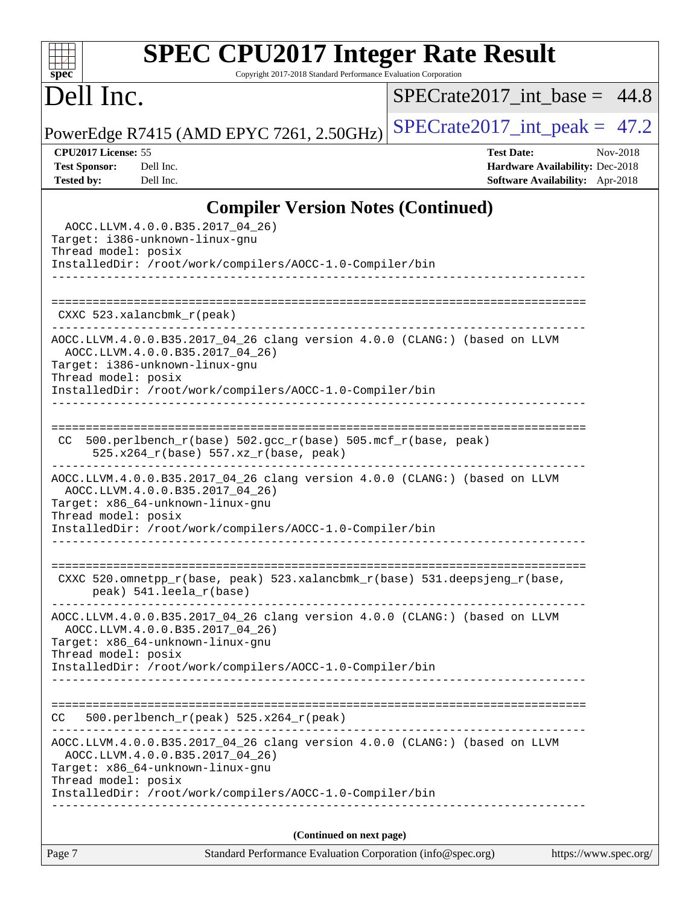# **[SPEC CPU2017 Integer Rate Result](http://www.spec.org/auto/cpu2017/Docs/result-fields.html#SPECCPU2017IntegerRateResult)**

Copyright 2017-2018 Standard Performance Evaluation Corporation

# Dell Inc.

**[spec](http://www.spec.org/)**

 $+\ +$ 

 $SPECrate2017\_int\_base = 44.8$ 

PowerEdge R7415 (AMD EPYC 7261, 2.50GHz) [SPECrate2017\\_int\\_peak =](http://www.spec.org/auto/cpu2017/Docs/result-fields.html#SPECrate2017intpeak)  $47.2$ 

**[CPU2017 License:](http://www.spec.org/auto/cpu2017/Docs/result-fields.html#CPU2017License)** 55 **[Test Date:](http://www.spec.org/auto/cpu2017/Docs/result-fields.html#TestDate)** Nov-2018 **[Test Sponsor:](http://www.spec.org/auto/cpu2017/Docs/result-fields.html#TestSponsor)** Dell Inc. **[Hardware Availability:](http://www.spec.org/auto/cpu2017/Docs/result-fields.html#HardwareAvailability)** Dec-2018 **[Tested by:](http://www.spec.org/auto/cpu2017/Docs/result-fields.html#Testedby)** Dell Inc. **[Software Availability:](http://www.spec.org/auto/cpu2017/Docs/result-fields.html#SoftwareAvailability)** Apr-2018

## **[Compiler Version Notes \(Continued\)](http://www.spec.org/auto/cpu2017/Docs/result-fields.html#CompilerVersionNotes)**

| Page 7                                                                                     | Standard Performance Evaluation Corporation (info@spec.org)                                                                            | https://www.spec.org/ |
|--------------------------------------------------------------------------------------------|----------------------------------------------------------------------------------------------------------------------------------------|-----------------------|
|                                                                                            | (Continued on next page)                                                                                                               |                       |
| Thread model: posix                                                                        | InstalledDir: /root/work/compilers/AOCC-1.0-Compiler/bin<br>____________________________                                               |                       |
| AOCC.LLVM.4.0.0.B35.2017_04_26)<br>Target: x86_64-unknown-linux-gnu                        | AOCC.LLVM.4.0.0.B35.2017_04_26 clang version 4.0.0 (CLANG:) (based on LLVM                                                             |                       |
| CC.                                                                                        | $500. perlbench_r (peak) 525.x264_r (peak)$                                                                                            |                       |
|                                                                                            | InstalledDir: /root/work/compilers/AOCC-1.0-Compiler/bin                                                                               |                       |
| AOCC.LLVM.4.0.0.B35.2017_04_26)<br>Target: x86_64-unknown-linux-gnu<br>Thread model: posix | AOCC.LLVM.4.0.0.B35.2017_04_26 clang version 4.0.0 (CLANG:) (based on LLVM                                                             |                       |
| peak) 541.leela_r(base)                                                                    | CXXC 520.omnetpp_r(base, peak) 523.xalancbmk_r(base) 531.deepsjeng_r(base,                                                             |                       |
| AOCC.LLVM.4.0.0.B35.2017_04_26)<br>Target: x86_64-unknown-linux-gnu<br>Thread model: posix | AOCC.LLVM.4.0.0.B35.2017_04_26 clang version 4.0.0 (CLANG:) (based on LLVM<br>InstalledDir: /root/work/compilers/AOCC-1.0-Compiler/bin |                       |
| CC.                                                                                        | $500. perlbench_r(base) 502. gcc_r(base) 505. mcf_r(base, peak)$<br>525.x264_r(base) 557.xz_r(base, peak)                              |                       |
| AOCC.LLVM.4.0.0.B35.2017_04_26)<br>Target: i386-unknown-linux-gnu<br>Thread model: posix   | AOCC.LLVM.4.0.0.B35.2017_04_26 clang version 4.0.0 (CLANG:) (based on LLVM<br>InstalledDir: /root/work/compilers/AOCC-1.0-Compiler/bin |                       |
| $CXXC$ 523.xalancbmk $r$ (peak)                                                            |                                                                                                                                        |                       |
|                                                                                            |                                                                                                                                        |                       |
| Target: i386-unknown-linux-gnu<br>Thread model: posix                                      | InstalledDir: /root/work/compilers/AOCC-1.0-Compiler/bin                                                                               |                       |
| AOCC.LLVM.4.0.0.B35.2017_04_26)                                                            |                                                                                                                                        |                       |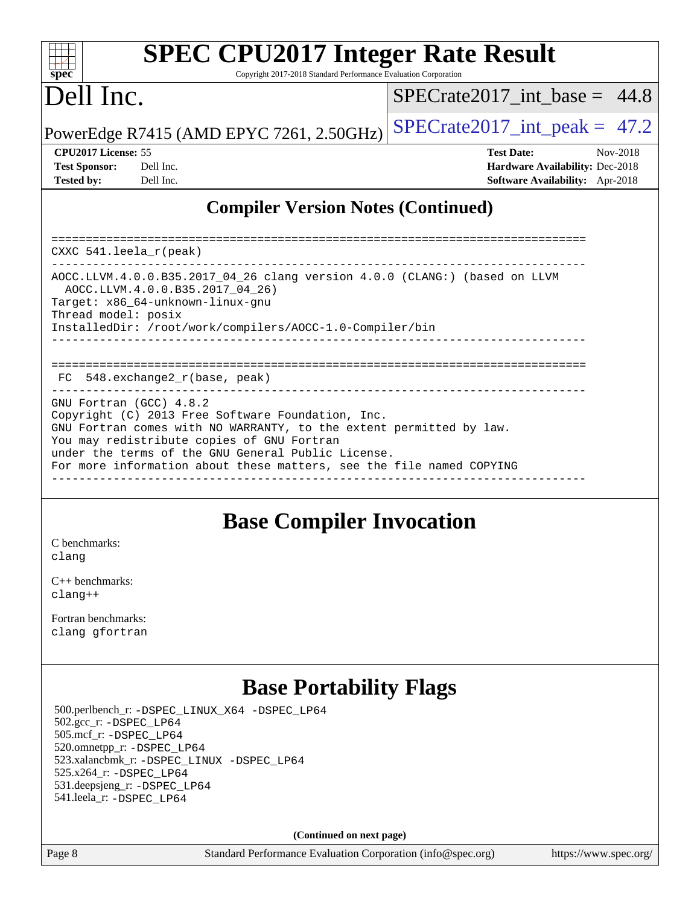### $+\ +$ **[spec](http://www.spec.org/)**

# **[SPEC CPU2017 Integer Rate Result](http://www.spec.org/auto/cpu2017/Docs/result-fields.html#SPECCPU2017IntegerRateResult)**

Copyright 2017-2018 Standard Performance Evaluation Corporation

# Dell Inc.

SPECrate2017 int\_base =  $44.8$ 

PowerEdge R7415 (AMD EPYC 7261, 2.50GHz)  $\left|$  [SPECrate2017\\_int\\_peak =](http://www.spec.org/auto/cpu2017/Docs/result-fields.html#SPECrate2017intpeak) 47.2

| <b>Test Sponsor:</b> | Dell Inc |
|----------------------|----------|
| <b>Tested by:</b>    | Dell Inc |

**[CPU2017 License:](http://www.spec.org/auto/cpu2017/Docs/result-fields.html#CPU2017License)** 55 **[Test Date:](http://www.spec.org/auto/cpu2017/Docs/result-fields.html#TestDate)** Nov-2018 **[Hardware Availability:](http://www.spec.org/auto/cpu2017/Docs/result-fields.html#HardwareAvailability) Dec-2018 [Software Availability:](http://www.spec.org/auto/cpu2017/Docs/result-fields.html#SoftwareAvailability)** Apr-2018

## **[Compiler Version Notes \(Continued\)](http://www.spec.org/auto/cpu2017/Docs/result-fields.html#CompilerVersionNotes)**

============================================================================== CXXC 541.leela\_r(peak) ------------------------------------------------------------------------------ AOCC.LLVM.4.0.0.B35.2017\_04\_26 clang version 4.0.0 (CLANG:) (based on LLVM AOCC.LLVM.4.0.0.B35.2017\_04\_26) Target: x86\_64-unknown-linux-gnu Thread model: posix InstalledDir: /root/work/compilers/AOCC-1.0-Compiler/bin ------------------------------------------------------------------------------ ============================================================================== FC 548.exchange2\_r(base, peak) ------------------------------------------------------------------------------ GNU Fortran (GCC) 4.8.2 Copyright (C) 2013 Free Software Foundation, Inc. GNU Fortran comes with NO WARRANTY, to the extent permitted by law. You may redistribute copies of GNU Fortran under the terms of the GNU General Public License. For more information about these matters, see the file named COPYING ------------------------------------------------------------------------------

## **[Base Compiler Invocation](http://www.spec.org/auto/cpu2017/Docs/result-fields.html#BaseCompilerInvocation)**

[C benchmarks](http://www.spec.org/auto/cpu2017/Docs/result-fields.html#Cbenchmarks): [clang](http://www.spec.org/cpu2017/results/res2018q4/cpu2017-20181210-10149.flags.html#user_CCbase_Fclang3_a68b77bfed473bd9cdd22529af008e8306c2e3948617c8991604c1a2000ee4a73ef90dd8bc793e105fe4165a625d26dacbda4708d828ad19048918c071b363ec)

[C++ benchmarks:](http://www.spec.org/auto/cpu2017/Docs/result-fields.html#CXXbenchmarks) [clang++](http://www.spec.org/cpu2017/results/res2018q4/cpu2017-20181210-10149.flags.html#user_CXXbase_Fclang3_57a48582e5be507d19b2527b3e7d4f85d9b8669ffc9a8a0dbb9bcf949a918a58bbab411e0c4d14a3922022a3e425a90db94042683824c1806feff4324ca1000d)

[Fortran benchmarks](http://www.spec.org/auto/cpu2017/Docs/result-fields.html#Fortranbenchmarks): [clang](http://www.spec.org/cpu2017/results/res2018q4/cpu2017-20181210-10149.flags.html#user_FCbase_Fclang3_a68b77bfed473bd9cdd22529af008e8306c2e3948617c8991604c1a2000ee4a73ef90dd8bc793e105fe4165a625d26dacbda4708d828ad19048918c071b363ec) [gfortran](http://www.spec.org/cpu2017/results/res2018q4/cpu2017-20181210-10149.flags.html#user_FCbase_aocc-gfortran_128c91a56d61ddb07404721e65b8f9498c31a443dacbd3b7f212891090eca86e2d099b520f75b99e9e8ac4fdec01f4d15f0b65e47123ec4c42b0759045731a1f)

# **[Base Portability Flags](http://www.spec.org/auto/cpu2017/Docs/result-fields.html#BasePortabilityFlags)**

 500.perlbench\_r: [-DSPEC\\_LINUX\\_X64](http://www.spec.org/cpu2017/results/res2018q4/cpu2017-20181210-10149.flags.html#b500.perlbench_r_basePORTABILITY_DSPEC_LINUX_X64) [-DSPEC\\_LP64](http://www.spec.org/cpu2017/results/res2018q4/cpu2017-20181210-10149.flags.html#b500.perlbench_r_baseEXTRA_PORTABILITY_DSPEC_LP64) 502.gcc\_r: [-DSPEC\\_LP64](http://www.spec.org/cpu2017/results/res2018q4/cpu2017-20181210-10149.flags.html#suite_baseEXTRA_PORTABILITY502_gcc_r_DSPEC_LP64) 505.mcf\_r: [-DSPEC\\_LP64](http://www.spec.org/cpu2017/results/res2018q4/cpu2017-20181210-10149.flags.html#suite_baseEXTRA_PORTABILITY505_mcf_r_DSPEC_LP64) 520.omnetpp\_r: [-DSPEC\\_LP64](http://www.spec.org/cpu2017/results/res2018q4/cpu2017-20181210-10149.flags.html#suite_baseEXTRA_PORTABILITY520_omnetpp_r_DSPEC_LP64) 523.xalancbmk\_r: [-DSPEC\\_LINUX](http://www.spec.org/cpu2017/results/res2018q4/cpu2017-20181210-10149.flags.html#b523.xalancbmk_r_basePORTABILITY_DSPEC_LINUX) [-DSPEC\\_LP64](http://www.spec.org/cpu2017/results/res2018q4/cpu2017-20181210-10149.flags.html#suite_baseEXTRA_PORTABILITY523_xalancbmk_r_DSPEC_LP64) 525.x264\_r: [-DSPEC\\_LP64](http://www.spec.org/cpu2017/results/res2018q4/cpu2017-20181210-10149.flags.html#suite_baseEXTRA_PORTABILITY525_x264_r_DSPEC_LP64) 531.deepsjeng\_r: [-DSPEC\\_LP64](http://www.spec.org/cpu2017/results/res2018q4/cpu2017-20181210-10149.flags.html#suite_baseEXTRA_PORTABILITY531_deepsjeng_r_DSPEC_LP64) 541.leela\_r: [-DSPEC\\_LP64](http://www.spec.org/cpu2017/results/res2018q4/cpu2017-20181210-10149.flags.html#suite_baseEXTRA_PORTABILITY541_leela_r_DSPEC_LP64)

**(Continued on next page)**

Page 8 Standard Performance Evaluation Corporation [\(info@spec.org\)](mailto:info@spec.org) <https://www.spec.org/>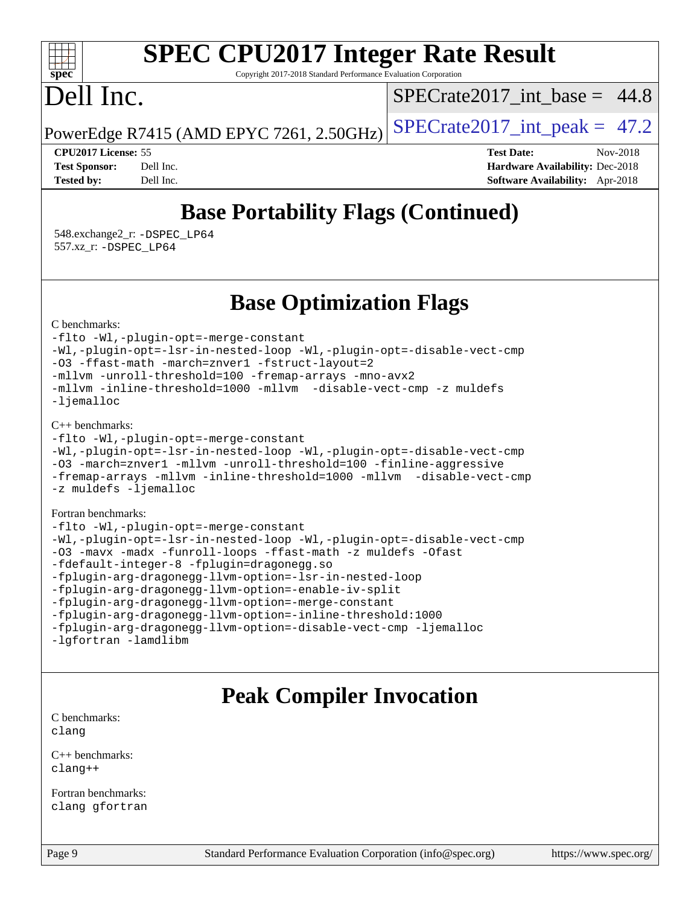### $+\ +$ **[spec](http://www.spec.org/)**

# **[SPEC CPU2017 Integer Rate Result](http://www.spec.org/auto/cpu2017/Docs/result-fields.html#SPECCPU2017IntegerRateResult)**

Copyright 2017-2018 Standard Performance Evaluation Corporation

# Dell Inc.

SPECrate2017 int\_base =  $44.8$ 

PowerEdge R7415 (AMD EPYC 7261, 2.50GHz) SPECrate  $2017$  int peak = 47.2

**[CPU2017 License:](http://www.spec.org/auto/cpu2017/Docs/result-fields.html#CPU2017License)** 55 **[Test Date:](http://www.spec.org/auto/cpu2017/Docs/result-fields.html#TestDate)** Nov-2018 **[Test Sponsor:](http://www.spec.org/auto/cpu2017/Docs/result-fields.html#TestSponsor)** Dell Inc. **[Hardware Availability:](http://www.spec.org/auto/cpu2017/Docs/result-fields.html#HardwareAvailability)** Dec-2018 **[Tested by:](http://www.spec.org/auto/cpu2017/Docs/result-fields.html#Testedby)** Dell Inc. **[Software Availability:](http://www.spec.org/auto/cpu2017/Docs/result-fields.html#SoftwareAvailability)** Apr-2018

# **[Base Portability Flags \(Continued\)](http://www.spec.org/auto/cpu2017/Docs/result-fields.html#BasePortabilityFlags)**

 548.exchange2\_r: [-DSPEC\\_LP64](http://www.spec.org/cpu2017/results/res2018q4/cpu2017-20181210-10149.flags.html#suite_baseEXTRA_PORTABILITY548_exchange2_r_DSPEC_LP64) 557.xz\_r: [-DSPEC\\_LP64](http://www.spec.org/cpu2017/results/res2018q4/cpu2017-20181210-10149.flags.html#suite_baseEXTRA_PORTABILITY557_xz_r_DSPEC_LP64)

## **[Base Optimization Flags](http://www.spec.org/auto/cpu2017/Docs/result-fields.html#BaseOptimizationFlags)**

[C benchmarks](http://www.spec.org/auto/cpu2017/Docs/result-fields.html#Cbenchmarks):

[-flto](http://www.spec.org/cpu2017/results/res2018q4/cpu2017-20181210-10149.flags.html#user_CCbase_lto) [-Wl,-plugin-opt=-merge-constant](http://www.spec.org/cpu2017/results/res2018q4/cpu2017-20181210-10149.flags.html#user_CCbase_F-merge-constant_1d79771b5442061d9c8e05556c6b0c655e6c9e66f8c6936b0129d434b6acd2b1cf1b7cd2540d1570ff636111b08a6bc36e2e61fc34531f8ef7c1a34c57be1dbb) [-Wl,-plugin-opt=-lsr-in-nested-loop](http://www.spec.org/cpu2017/results/res2018q4/cpu2017-20181210-10149.flags.html#user_CCbase_lsr-in-nested-loop_1cff93fd95162f5e77640b5271e8bed680fb62b4a8d96fb8ab217ff3244646f1fbb342e31af83c263403bbf5249c7dc7732d5c86c3eab4cc8d32dcb7a6f33ca0) [-Wl,-plugin-opt=-disable-vect-cmp](http://www.spec.org/cpu2017/results/res2018q4/cpu2017-20181210-10149.flags.html#user_CCbase_disable-vect-cmp_1056b9a09b8ddc126e023b5f99ae33179ef568835465af9b7adeacf4b6480ff575c8aee439265bcfbcbf086f33f2fa5cca2bc4cf52b64c0cd2e10f6503cba02d) [-O3](http://www.spec.org/cpu2017/results/res2018q4/cpu2017-20181210-10149.flags.html#user_CCbase_F-O3) [-ffast-math](http://www.spec.org/cpu2017/results/res2018q4/cpu2017-20181210-10149.flags.html#user_CCbase_F-aocc-ffast-math_78dd175de6534c2005829757b9b0f2878e57b067cce6f7c443b2250ac68890960e2e1b320ca04b81ff7c62c6f87870ed05f06baf7875eea2990d38e3b73c71f1) [-march=znver1](http://www.spec.org/cpu2017/results/res2018q4/cpu2017-20181210-10149.flags.html#user_CCbase_F-march) [-fstruct-layout=2](http://www.spec.org/cpu2017/results/res2018q4/cpu2017-20181210-10149.flags.html#user_CCbase_F-fstruct-layout_a05ec02e17cdf7fe0c3950a6b005251b2b1e5e67af2b5298cf72714730c3d59ba290e75546b10aa22dac074c15ceaca36ae22c62cb51bcb2fbdc9dc4e7e222c4) [-mllvm -unroll-threshold=100](http://www.spec.org/cpu2017/results/res2018q4/cpu2017-20181210-10149.flags.html#user_CCbase_F-unroll-threshold_2755d0c78138845d361fa1543e3a063fffa198df9b3edf0cfb856bbc88a81e1769b12ac7a550c5d35197be55360db1a3f95a8d1304df999456cabf5120c45168) [-fremap-arrays](http://www.spec.org/cpu2017/results/res2018q4/cpu2017-20181210-10149.flags.html#user_CCbase_F-fremap-arrays) [-mno-avx2](http://www.spec.org/cpu2017/results/res2018q4/cpu2017-20181210-10149.flags.html#user_CCbase_F-mno-avx2) [-mllvm -inline-threshold=1000](http://www.spec.org/cpu2017/results/res2018q4/cpu2017-20181210-10149.flags.html#user_CCbase_inline-threshold_b7832241b0a6397e4ecdbaf0eb7defdc10f885c2a282fa3240fdc99844d543fda39cf8a4a9dccf68cf19b5438ac3b455264f478df15da0f4988afa40d8243bab) [-mllvm -disable-vect-cmp](http://www.spec.org/cpu2017/results/res2018q4/cpu2017-20181210-10149.flags.html#user_CCbase_disable-vect-cmp_d995c9eb800469498c6893dc847c54c903d59847b18cb2ac22011b9af7010c96d2d48d3c6b41246fe86945001509aa4dc528afb61cb238fd3b256a31781ea0cf) [-z muldefs](http://www.spec.org/cpu2017/results/res2018q4/cpu2017-20181210-10149.flags.html#user_CCbase_F-z-muldefs) [-ljemalloc](http://www.spec.org/cpu2017/results/res2018q4/cpu2017-20181210-10149.flags.html#user_CCbase_jemalloc-lib_d1249b907c500fa1c0672f44f562e3d0f79738ae9e3c4a9c376d49f265a04b9c99b167ecedbf6711b3085be911c67ff61f150a17b3472be731631ba4d0471706)

[C++ benchmarks:](http://www.spec.org/auto/cpu2017/Docs/result-fields.html#CXXbenchmarks)

[-flto](http://www.spec.org/cpu2017/results/res2018q4/cpu2017-20181210-10149.flags.html#user_CXXbase_lto) [-Wl,-plugin-opt=-merge-constant](http://www.spec.org/cpu2017/results/res2018q4/cpu2017-20181210-10149.flags.html#user_CXXbase_F-merge-constant_1d79771b5442061d9c8e05556c6b0c655e6c9e66f8c6936b0129d434b6acd2b1cf1b7cd2540d1570ff636111b08a6bc36e2e61fc34531f8ef7c1a34c57be1dbb) [-Wl,-plugin-opt=-lsr-in-nested-loop](http://www.spec.org/cpu2017/results/res2018q4/cpu2017-20181210-10149.flags.html#user_CXXbase_lsr-in-nested-loop_1cff93fd95162f5e77640b5271e8bed680fb62b4a8d96fb8ab217ff3244646f1fbb342e31af83c263403bbf5249c7dc7732d5c86c3eab4cc8d32dcb7a6f33ca0) [-Wl,-plugin-opt=-disable-vect-cmp](http://www.spec.org/cpu2017/results/res2018q4/cpu2017-20181210-10149.flags.html#user_CXXbase_disable-vect-cmp_1056b9a09b8ddc126e023b5f99ae33179ef568835465af9b7adeacf4b6480ff575c8aee439265bcfbcbf086f33f2fa5cca2bc4cf52b64c0cd2e10f6503cba02d) [-O3](http://www.spec.org/cpu2017/results/res2018q4/cpu2017-20181210-10149.flags.html#user_CXXbase_F-O3) [-march=znver1](http://www.spec.org/cpu2017/results/res2018q4/cpu2017-20181210-10149.flags.html#user_CXXbase_F-march) [-mllvm -unroll-threshold=100](http://www.spec.org/cpu2017/results/res2018q4/cpu2017-20181210-10149.flags.html#user_CXXbase_F-unroll-threshold_2755d0c78138845d361fa1543e3a063fffa198df9b3edf0cfb856bbc88a81e1769b12ac7a550c5d35197be55360db1a3f95a8d1304df999456cabf5120c45168) [-finline-aggressive](http://www.spec.org/cpu2017/results/res2018q4/cpu2017-20181210-10149.flags.html#user_CXXbase_F-finline-aggressive) [-fremap-arrays](http://www.spec.org/cpu2017/results/res2018q4/cpu2017-20181210-10149.flags.html#user_CXXbase_F-fremap-arrays) [-mllvm -inline-threshold=1000](http://www.spec.org/cpu2017/results/res2018q4/cpu2017-20181210-10149.flags.html#user_CXXbase_inline-threshold_b7832241b0a6397e4ecdbaf0eb7defdc10f885c2a282fa3240fdc99844d543fda39cf8a4a9dccf68cf19b5438ac3b455264f478df15da0f4988afa40d8243bab) [-mllvm -disable-vect-cmp](http://www.spec.org/cpu2017/results/res2018q4/cpu2017-20181210-10149.flags.html#user_CXXbase_disable-vect-cmp_d995c9eb800469498c6893dc847c54c903d59847b18cb2ac22011b9af7010c96d2d48d3c6b41246fe86945001509aa4dc528afb61cb238fd3b256a31781ea0cf) [-z muldefs](http://www.spec.org/cpu2017/results/res2018q4/cpu2017-20181210-10149.flags.html#user_CXXbase_F-z-muldefs) [-ljemalloc](http://www.spec.org/cpu2017/results/res2018q4/cpu2017-20181210-10149.flags.html#user_CXXbase_jemalloc-lib_d1249b907c500fa1c0672f44f562e3d0f79738ae9e3c4a9c376d49f265a04b9c99b167ecedbf6711b3085be911c67ff61f150a17b3472be731631ba4d0471706)

### [Fortran benchmarks](http://www.spec.org/auto/cpu2017/Docs/result-fields.html#Fortranbenchmarks):

| -flto -Wl,-plugin-opt=-merge-constant                                 |
|-----------------------------------------------------------------------|
| -Wl,-plugin-opt=-lsr-in-nested-loop -Wl,-plugin-opt=-disable-vect-cmp |
| -03 -mavx -madx -funroll-loops -ffast-math -z muldefs -Ofast          |
| -fdefault-integer-8 -fplugin=dragonegg.so                             |
| -fplugin-arg-dragonegg-llvm-option=-lsr-in-nested-loop                |
| -fplugin-arg-dragonegg-llvm-option=-enable-iv-split                   |
| -fplugin-arg-dragonegg-llvm-option=-merge-constant                    |
| -fplugin-arg-dragonegg-llvm-option=-inline-threshold:1000             |
| -fplugin-arg-dragonegg-llvm-option=-disable-vect-cmp -ljemalloc       |
| -lqfortran -lamdlibm                                                  |

## **[Peak Compiler Invocation](http://www.spec.org/auto/cpu2017/Docs/result-fields.html#PeakCompilerInvocation)**

[C benchmarks](http://www.spec.org/auto/cpu2017/Docs/result-fields.html#Cbenchmarks): [clang](http://www.spec.org/cpu2017/results/res2018q4/cpu2017-20181210-10149.flags.html#user_CCpeak_Fclang3_a68b77bfed473bd9cdd22529af008e8306c2e3948617c8991604c1a2000ee4a73ef90dd8bc793e105fe4165a625d26dacbda4708d828ad19048918c071b363ec)

[C++ benchmarks:](http://www.spec.org/auto/cpu2017/Docs/result-fields.html#CXXbenchmarks) [clang++](http://www.spec.org/cpu2017/results/res2018q4/cpu2017-20181210-10149.flags.html#user_CXXpeak_Fclang3_57a48582e5be507d19b2527b3e7d4f85d9b8669ffc9a8a0dbb9bcf949a918a58bbab411e0c4d14a3922022a3e425a90db94042683824c1806feff4324ca1000d)

[Fortran benchmarks](http://www.spec.org/auto/cpu2017/Docs/result-fields.html#Fortranbenchmarks): [clang](http://www.spec.org/cpu2017/results/res2018q4/cpu2017-20181210-10149.flags.html#user_FCpeak_Fclang3_a68b77bfed473bd9cdd22529af008e8306c2e3948617c8991604c1a2000ee4a73ef90dd8bc793e105fe4165a625d26dacbda4708d828ad19048918c071b363ec) [gfortran](http://www.spec.org/cpu2017/results/res2018q4/cpu2017-20181210-10149.flags.html#user_FCpeak_aocc-gfortran_128c91a56d61ddb07404721e65b8f9498c31a443dacbd3b7f212891090eca86e2d099b520f75b99e9e8ac4fdec01f4d15f0b65e47123ec4c42b0759045731a1f)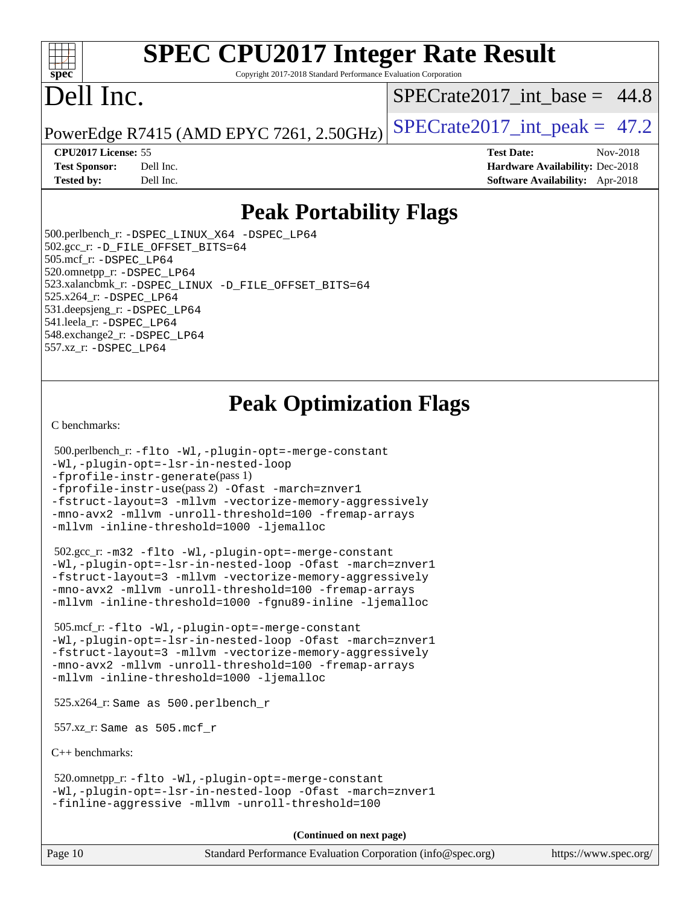### $+\ +$ **[spec](http://www.spec.org/)**

# **[SPEC CPU2017 Integer Rate Result](http://www.spec.org/auto/cpu2017/Docs/result-fields.html#SPECCPU2017IntegerRateResult)**

Copyright 2017-2018 Standard Performance Evaluation Corporation

# Dell Inc.

SPECrate2017 int\_base =  $44.8$ 

PowerEdge R7415 (AMD EPYC 7261, 2.50GHz) SPECrate  $2017$  int peak = 47.2

**[Tested by:](http://www.spec.org/auto/cpu2017/Docs/result-fields.html#Testedby)** Dell Inc. **[Software Availability:](http://www.spec.org/auto/cpu2017/Docs/result-fields.html#SoftwareAvailability)** Apr-2018

**[CPU2017 License:](http://www.spec.org/auto/cpu2017/Docs/result-fields.html#CPU2017License)** 55 **[Test Date:](http://www.spec.org/auto/cpu2017/Docs/result-fields.html#TestDate)** Nov-2018 **[Test Sponsor:](http://www.spec.org/auto/cpu2017/Docs/result-fields.html#TestSponsor)** Dell Inc. **[Hardware Availability:](http://www.spec.org/auto/cpu2017/Docs/result-fields.html#HardwareAvailability)** Dec-2018

## **[Peak Portability Flags](http://www.spec.org/auto/cpu2017/Docs/result-fields.html#PeakPortabilityFlags)**

 500.perlbench\_r: [-DSPEC\\_LINUX\\_X64](http://www.spec.org/cpu2017/results/res2018q4/cpu2017-20181210-10149.flags.html#b500.perlbench_r_peakPORTABILITY_DSPEC_LINUX_X64) [-DSPEC\\_LP64](http://www.spec.org/cpu2017/results/res2018q4/cpu2017-20181210-10149.flags.html#b500.perlbench_r_peakEXTRA_PORTABILITY_DSPEC_LP64) 502.gcc\_r: [-D\\_FILE\\_OFFSET\\_BITS=64](http://www.spec.org/cpu2017/results/res2018q4/cpu2017-20181210-10149.flags.html#user_peakEXTRA_PORTABILITY502_gcc_r_F-D_FILE_OFFSET_BITS_5ae949a99b284ddf4e95728d47cb0843d81b2eb0e18bdfe74bbf0f61d0b064f4bda2f10ea5eb90e1dcab0e84dbc592acfc5018bc955c18609f94ddb8d550002c) 505.mcf\_r: [-DSPEC\\_LP64](http://www.spec.org/cpu2017/results/res2018q4/cpu2017-20181210-10149.flags.html#suite_peakEXTRA_PORTABILITY505_mcf_r_DSPEC_LP64) 520.omnetpp\_r: [-DSPEC\\_LP64](http://www.spec.org/cpu2017/results/res2018q4/cpu2017-20181210-10149.flags.html#suite_peakEXTRA_PORTABILITY520_omnetpp_r_DSPEC_LP64) 523.xalancbmk\_r: [-DSPEC\\_LINUX](http://www.spec.org/cpu2017/results/res2018q4/cpu2017-20181210-10149.flags.html#b523.xalancbmk_r_peakPORTABILITY_DSPEC_LINUX) [-D\\_FILE\\_OFFSET\\_BITS=64](http://www.spec.org/cpu2017/results/res2018q4/cpu2017-20181210-10149.flags.html#user_peakEXTRA_PORTABILITY523_xalancbmk_r_F-D_FILE_OFFSET_BITS_5ae949a99b284ddf4e95728d47cb0843d81b2eb0e18bdfe74bbf0f61d0b064f4bda2f10ea5eb90e1dcab0e84dbc592acfc5018bc955c18609f94ddb8d550002c) 525.x264\_r: [-DSPEC\\_LP64](http://www.spec.org/cpu2017/results/res2018q4/cpu2017-20181210-10149.flags.html#suite_peakEXTRA_PORTABILITY525_x264_r_DSPEC_LP64) 531.deepsjeng\_r: [-DSPEC\\_LP64](http://www.spec.org/cpu2017/results/res2018q4/cpu2017-20181210-10149.flags.html#suite_peakEXTRA_PORTABILITY531_deepsjeng_r_DSPEC_LP64) 541.leela\_r: [-DSPEC\\_LP64](http://www.spec.org/cpu2017/results/res2018q4/cpu2017-20181210-10149.flags.html#suite_peakEXTRA_PORTABILITY541_leela_r_DSPEC_LP64) 548.exchange2\_r: [-DSPEC\\_LP64](http://www.spec.org/cpu2017/results/res2018q4/cpu2017-20181210-10149.flags.html#suite_peakEXTRA_PORTABILITY548_exchange2_r_DSPEC_LP64) 557.xz\_r: [-DSPEC\\_LP64](http://www.spec.org/cpu2017/results/res2018q4/cpu2017-20181210-10149.flags.html#suite_peakEXTRA_PORTABILITY557_xz_r_DSPEC_LP64)

# **[Peak Optimization Flags](http://www.spec.org/auto/cpu2017/Docs/result-fields.html#PeakOptimizationFlags)**

[C benchmarks](http://www.spec.org/auto/cpu2017/Docs/result-fields.html#Cbenchmarks):

```
 500.perlbench_r: -flto -Wl,-plugin-opt=-merge-constant
-Wl,-plugin-opt=-lsr-in-nested-loop
-fprofile-instr-generate(pass 1)
-fprofile-instr-use(pass 2) -Ofast -march=znver1
-fstruct-layout=3 -mllvm -vectorize-memory-aggressively
-mno-avx2 -mllvm -unroll-threshold=100 -fremap-arrays
-mllvm -inline-threshold=1000 -ljemalloc
```
 502.gcc\_r: [-m32](http://www.spec.org/cpu2017/results/res2018q4/cpu2017-20181210-10149.flags.html#user_peakCCLD502_gcc_r_F-m32) [-flto](http://www.spec.org/cpu2017/results/res2018q4/cpu2017-20181210-10149.flags.html#user_peakCOPTIMIZEEXTRA_LDFLAGS502_gcc_r_lto) [-Wl,-plugin-opt=-merge-constant](http://www.spec.org/cpu2017/results/res2018q4/cpu2017-20181210-10149.flags.html#user_peakEXTRA_LDFLAGS502_gcc_r_F-merge-constant_1d79771b5442061d9c8e05556c6b0c655e6c9e66f8c6936b0129d434b6acd2b1cf1b7cd2540d1570ff636111b08a6bc36e2e61fc34531f8ef7c1a34c57be1dbb) [-Wl,-plugin-opt=-lsr-in-nested-loop](http://www.spec.org/cpu2017/results/res2018q4/cpu2017-20181210-10149.flags.html#user_peakEXTRA_LDFLAGS502_gcc_r_lsr-in-nested-loop_1cff93fd95162f5e77640b5271e8bed680fb62b4a8d96fb8ab217ff3244646f1fbb342e31af83c263403bbf5249c7dc7732d5c86c3eab4cc8d32dcb7a6f33ca0) [-Ofast](http://www.spec.org/cpu2017/results/res2018q4/cpu2017-20181210-10149.flags.html#user_peakCOPTIMIZE502_gcc_r_F-aocc-Ofast) [-march=znver1](http://www.spec.org/cpu2017/results/res2018q4/cpu2017-20181210-10149.flags.html#user_peakCOPTIMIZE502_gcc_r_F-march) [-fstruct-layout=3](http://www.spec.org/cpu2017/results/res2018q4/cpu2017-20181210-10149.flags.html#user_peakCOPTIMIZE502_gcc_r_F-fstruct-layout) [-mllvm -vectorize-memory-aggressively](http://www.spec.org/cpu2017/results/res2018q4/cpu2017-20181210-10149.flags.html#user_peakCOPTIMIZE502_gcc_r_vectorize-memory-aggressively_24b72a4417f50ade9e698c5b3bed87ab456cc6fc8ec6439480cb84f36ad6a3975af6e87206dea402e3871a1464ff3d60bc798e0250f330177ba629a260df1857) [-mno-avx2](http://www.spec.org/cpu2017/results/res2018q4/cpu2017-20181210-10149.flags.html#user_peakCOPTIMIZE502_gcc_r_F-mno-avx2) [-mllvm -unroll-threshold=100](http://www.spec.org/cpu2017/results/res2018q4/cpu2017-20181210-10149.flags.html#user_peakCOPTIMIZE502_gcc_r_F-unroll-threshold_2755d0c78138845d361fa1543e3a063fffa198df9b3edf0cfb856bbc88a81e1769b12ac7a550c5d35197be55360db1a3f95a8d1304df999456cabf5120c45168) [-fremap-arrays](http://www.spec.org/cpu2017/results/res2018q4/cpu2017-20181210-10149.flags.html#user_peakCOPTIMIZE502_gcc_r_F-fremap-arrays) [-mllvm -inline-threshold=1000](http://www.spec.org/cpu2017/results/res2018q4/cpu2017-20181210-10149.flags.html#user_peakCOPTIMIZE502_gcc_r_inline-threshold_b7832241b0a6397e4ecdbaf0eb7defdc10f885c2a282fa3240fdc99844d543fda39cf8a4a9dccf68cf19b5438ac3b455264f478df15da0f4988afa40d8243bab) [-fgnu89-inline](http://www.spec.org/cpu2017/results/res2018q4/cpu2017-20181210-10149.flags.html#user_peakEXTRA_COPTIMIZE502_gcc_r_F-fgnu89-inline) [-ljemalloc](http://www.spec.org/cpu2017/results/res2018q4/cpu2017-20181210-10149.flags.html#user_peakEXTRA_LIBS502_gcc_r_jemalloc-lib_d1249b907c500fa1c0672f44f562e3d0f79738ae9e3c4a9c376d49f265a04b9c99b167ecedbf6711b3085be911c67ff61f150a17b3472be731631ba4d0471706)

 505.mcf\_r: [-flto](http://www.spec.org/cpu2017/results/res2018q4/cpu2017-20181210-10149.flags.html#user_peakCOPTIMIZEEXTRA_LDFLAGS505_mcf_r_lto) [-Wl,-plugin-opt=-merge-constant](http://www.spec.org/cpu2017/results/res2018q4/cpu2017-20181210-10149.flags.html#user_peakEXTRA_LDFLAGS505_mcf_r_F-merge-constant_1d79771b5442061d9c8e05556c6b0c655e6c9e66f8c6936b0129d434b6acd2b1cf1b7cd2540d1570ff636111b08a6bc36e2e61fc34531f8ef7c1a34c57be1dbb) [-Wl,-plugin-opt=-lsr-in-nested-loop](http://www.spec.org/cpu2017/results/res2018q4/cpu2017-20181210-10149.flags.html#user_peakEXTRA_LDFLAGS505_mcf_r_lsr-in-nested-loop_1cff93fd95162f5e77640b5271e8bed680fb62b4a8d96fb8ab217ff3244646f1fbb342e31af83c263403bbf5249c7dc7732d5c86c3eab4cc8d32dcb7a6f33ca0) [-Ofast](http://www.spec.org/cpu2017/results/res2018q4/cpu2017-20181210-10149.flags.html#user_peakCOPTIMIZE505_mcf_r_F-aocc-Ofast) [-march=znver1](http://www.spec.org/cpu2017/results/res2018q4/cpu2017-20181210-10149.flags.html#user_peakCOPTIMIZE505_mcf_r_F-march) [-fstruct-layout=3](http://www.spec.org/cpu2017/results/res2018q4/cpu2017-20181210-10149.flags.html#user_peakCOPTIMIZE505_mcf_r_F-fstruct-layout) [-mllvm -vectorize-memory-aggressively](http://www.spec.org/cpu2017/results/res2018q4/cpu2017-20181210-10149.flags.html#user_peakCOPTIMIZE505_mcf_r_vectorize-memory-aggressively_24b72a4417f50ade9e698c5b3bed87ab456cc6fc8ec6439480cb84f36ad6a3975af6e87206dea402e3871a1464ff3d60bc798e0250f330177ba629a260df1857) [-mno-avx2](http://www.spec.org/cpu2017/results/res2018q4/cpu2017-20181210-10149.flags.html#user_peakCOPTIMIZE505_mcf_r_F-mno-avx2) [-mllvm -unroll-threshold=100](http://www.spec.org/cpu2017/results/res2018q4/cpu2017-20181210-10149.flags.html#user_peakCOPTIMIZE505_mcf_r_F-unroll-threshold_2755d0c78138845d361fa1543e3a063fffa198df9b3edf0cfb856bbc88a81e1769b12ac7a550c5d35197be55360db1a3f95a8d1304df999456cabf5120c45168) [-fremap-arrays](http://www.spec.org/cpu2017/results/res2018q4/cpu2017-20181210-10149.flags.html#user_peakCOPTIMIZE505_mcf_r_F-fremap-arrays) [-mllvm -inline-threshold=1000](http://www.spec.org/cpu2017/results/res2018q4/cpu2017-20181210-10149.flags.html#user_peakCOPTIMIZE505_mcf_r_inline-threshold_b7832241b0a6397e4ecdbaf0eb7defdc10f885c2a282fa3240fdc99844d543fda39cf8a4a9dccf68cf19b5438ac3b455264f478df15da0f4988afa40d8243bab) [-ljemalloc](http://www.spec.org/cpu2017/results/res2018q4/cpu2017-20181210-10149.flags.html#user_peakEXTRA_LIBS505_mcf_r_jemalloc-lib_d1249b907c500fa1c0672f44f562e3d0f79738ae9e3c4a9c376d49f265a04b9c99b167ecedbf6711b3085be911c67ff61f150a17b3472be731631ba4d0471706)

525.x264\_r: Same as 500.perlbench\_r

557.xz\_r: Same as 505.mcf\_r

[C++ benchmarks:](http://www.spec.org/auto/cpu2017/Docs/result-fields.html#CXXbenchmarks)

 520.omnetpp\_r: [-flto](http://www.spec.org/cpu2017/results/res2018q4/cpu2017-20181210-10149.flags.html#user_peakCXXOPTIMIZEEXTRA_LDFLAGS520_omnetpp_r_lto) [-Wl,-plugin-opt=-merge-constant](http://www.spec.org/cpu2017/results/res2018q4/cpu2017-20181210-10149.flags.html#user_peakEXTRA_LDFLAGS520_omnetpp_r_F-merge-constant_1d79771b5442061d9c8e05556c6b0c655e6c9e66f8c6936b0129d434b6acd2b1cf1b7cd2540d1570ff636111b08a6bc36e2e61fc34531f8ef7c1a34c57be1dbb) [-Wl,-plugin-opt=-lsr-in-nested-loop](http://www.spec.org/cpu2017/results/res2018q4/cpu2017-20181210-10149.flags.html#user_peakEXTRA_LDFLAGS520_omnetpp_r_lsr-in-nested-loop_1cff93fd95162f5e77640b5271e8bed680fb62b4a8d96fb8ab217ff3244646f1fbb342e31af83c263403bbf5249c7dc7732d5c86c3eab4cc8d32dcb7a6f33ca0) [-Ofast](http://www.spec.org/cpu2017/results/res2018q4/cpu2017-20181210-10149.flags.html#user_peakCXXOPTIMIZE520_omnetpp_r_F-aocc-Ofast) [-march=znver1](http://www.spec.org/cpu2017/results/res2018q4/cpu2017-20181210-10149.flags.html#user_peakCXXOPTIMIZE520_omnetpp_r_F-march) [-finline-aggressive](http://www.spec.org/cpu2017/results/res2018q4/cpu2017-20181210-10149.flags.html#user_peakCXXOPTIMIZE520_omnetpp_r_F-finline-aggressive) [-mllvm -unroll-threshold=100](http://www.spec.org/cpu2017/results/res2018q4/cpu2017-20181210-10149.flags.html#user_peakCXXOPTIMIZE520_omnetpp_r_F-unroll-threshold_2755d0c78138845d361fa1543e3a063fffa198df9b3edf0cfb856bbc88a81e1769b12ac7a550c5d35197be55360db1a3f95a8d1304df999456cabf5120c45168)

**(Continued on next page)**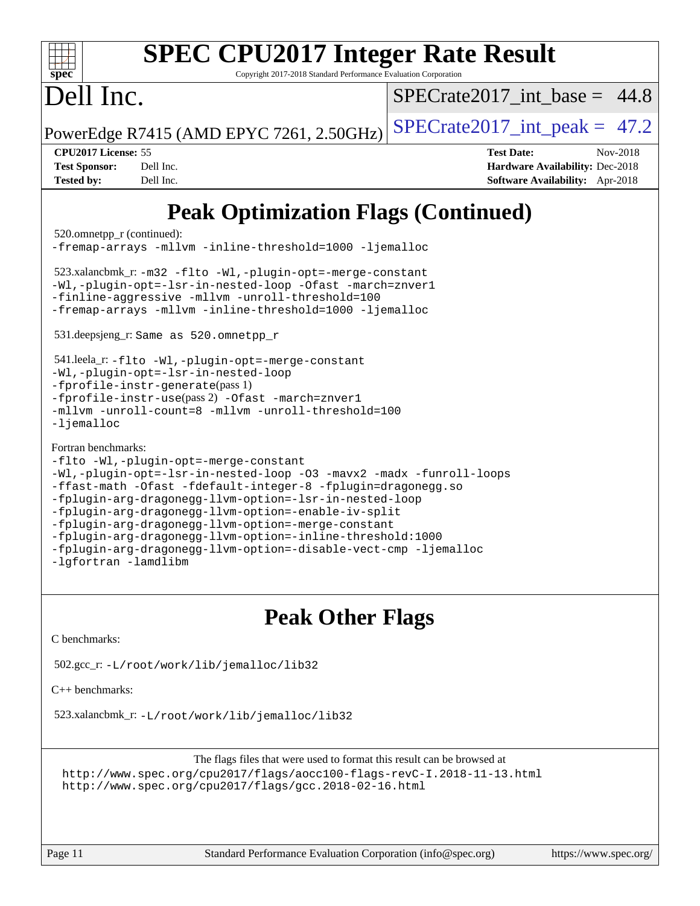| <b>SPEC CPU2017 Integer Rate Result</b><br>$spec^*$<br>Copyright 2017-2018 Standard Performance Evaluation Corporation                                                                                                                                                                                               |                                                                                                     |  |  |  |  |
|----------------------------------------------------------------------------------------------------------------------------------------------------------------------------------------------------------------------------------------------------------------------------------------------------------------------|-----------------------------------------------------------------------------------------------------|--|--|--|--|
| Dell Inc.                                                                                                                                                                                                                                                                                                            | $SPECrate2017$ int base = 44.8                                                                      |  |  |  |  |
| PowerEdge R7415 (AMD EPYC 7261, 2.50GHz)                                                                                                                                                                                                                                                                             | $SPECrate2017\_int\_peak = 47.2$                                                                    |  |  |  |  |
| CPU2017 License: 55<br><b>Test Sponsor:</b><br>Dell Inc.<br><b>Tested by:</b><br>Dell Inc.                                                                                                                                                                                                                           | <b>Test Date:</b><br>Nov-2018<br>Hardware Availability: Dec-2018<br>Software Availability: Apr-2018 |  |  |  |  |
| <b>Peak Optimization Flags (Continued)</b>                                                                                                                                                                                                                                                                           |                                                                                                     |  |  |  |  |
| 520.omnetpp_r (continued):<br>-fremap-arrays -mllvm -inline-threshold=1000 -ljemalloc                                                                                                                                                                                                                                |                                                                                                     |  |  |  |  |
| $523.x$ alancbmk_r: -m32 -flto -Wl,-plugin-opt=-merge-constant<br>-Wl,-plugin-opt=-lsr-in-nested-loop -Ofast -march=znver1<br>-finline-aggressive -mllvm -unroll-threshold=100<br>-fremap-arrays -mllvm -inline-threshold=1000 -ljemalloc                                                                            |                                                                                                     |  |  |  |  |
| 531.deepsjeng_r: Same as 520.omnetpp_r                                                                                                                                                                                                                                                                               |                                                                                                     |  |  |  |  |
| 541.leela_r: -flto -Wl,-plugin-opt=-merge-constant<br>-Wl,-plugin-opt=-lsr-in-nested-loop<br>$-fprofile-instr-generate(pass 1)$<br>-fprofile-instr-use(pass 2) -Ofast -march=znver1<br>-mllvm -unroll-count=8 -mllvm -unroll-threshold=100<br>$-lj$ emalloc                                                          |                                                                                                     |  |  |  |  |
| Fortran benchmarks:<br>-flto -Wl,-plugin-opt=-merge-constant<br>-Wl,-plugin-opt=-lsr-in-nested-loop -03 -mavx2 -madx -funroll-loops<br>-ffast-math -Ofast -fdefault-integer-8 -fplugin=dragonegg.so<br>-fplugin-arg-dragonegg-llvm-option=-lsr-in-nested-loop<br>-fplugin-arg-dragonegg-llvm-option=-enable-iv-split |                                                                                                     |  |  |  |  |

- [-fplugin-arg-dragonegg-llvm-option=-merge-constant](http://www.spec.org/cpu2017/results/res2018q4/cpu2017-20181210-10149.flags.html#user_FCpeak_F-merge-constant_37fd66d07a4fbae8f1b816e843c3ed1ebaa48f794b65ea8be746a1880566a3d23eba4a3c37b5c024650311adcf9247c62af28144803b3729b14be14423fa5142)
- [-fplugin-arg-dragonegg-llvm-option=-inline-threshold:1000](http://www.spec.org/cpu2017/results/res2018q4/cpu2017-20181210-10149.flags.html#user_FCpeak_inline-threshold_eec74946bf81becf626625ea3f1757217b7f1e09b0c056df6f4a6dc542562255a9e8a6d36c454b3b2ed3e147f40cf87a14a68e01ad47a8b90b49f15f387f919f) [-fplugin-arg-dragonegg-llvm-option=-disable-vect-cmp](http://www.spec.org/cpu2017/results/res2018q4/cpu2017-20181210-10149.flags.html#user_FCpeak_disable-vect-cmp_d119dd6f96524d64dc477d5e6a72268aebe046b42f767098038bf7530fc0cc546dd329b2376104fde185baca14f7365ef86ccd3ff602b57a7839de005478f594) [-ljemalloc](http://www.spec.org/cpu2017/results/res2018q4/cpu2017-20181210-10149.flags.html#user_FCpeak_jemalloc-lib_d1249b907c500fa1c0672f44f562e3d0f79738ae9e3c4a9c376d49f265a04b9c99b167ecedbf6711b3085be911c67ff61f150a17b3472be731631ba4d0471706)
- [-lgfortran](http://www.spec.org/cpu2017/results/res2018q4/cpu2017-20181210-10149.flags.html#user_FCpeak_F-lgfortran) [-lamdlibm](http://www.spec.org/cpu2017/results/res2018q4/cpu2017-20181210-10149.flags.html#user_FCpeak_F-lamdlibm)

# **[Peak Other Flags](http://www.spec.org/auto/cpu2017/Docs/result-fields.html#PeakOtherFlags)**

[C benchmarks](http://www.spec.org/auto/cpu2017/Docs/result-fields.html#Cbenchmarks):

```
 502.gcc_r: -L/root/work/lib/jemalloc/lib32
```
[C++ benchmarks:](http://www.spec.org/auto/cpu2017/Docs/result-fields.html#CXXbenchmarks)

523.xalancbmk\_r: [-L/root/work/lib/jemalloc/lib32](http://www.spec.org/cpu2017/results/res2018q4/cpu2017-20181210-10149.flags.html#user_peakEXTRA_LIBS523_xalancbmk_r_Link_path_ed592dae44e5c1ab08e0623a53d3c5a4c6e35be404d5d0c77aec9324965777ec819518e6bc9b505d0969c714b6f83ef377306a01beedec47148c3dcded825687)

The flags files that were used to format this result can be browsed at <http://www.spec.org/cpu2017/flags/aocc100-flags-revC-I.2018-11-13.html> <http://www.spec.org/cpu2017/flags/gcc.2018-02-16.html>